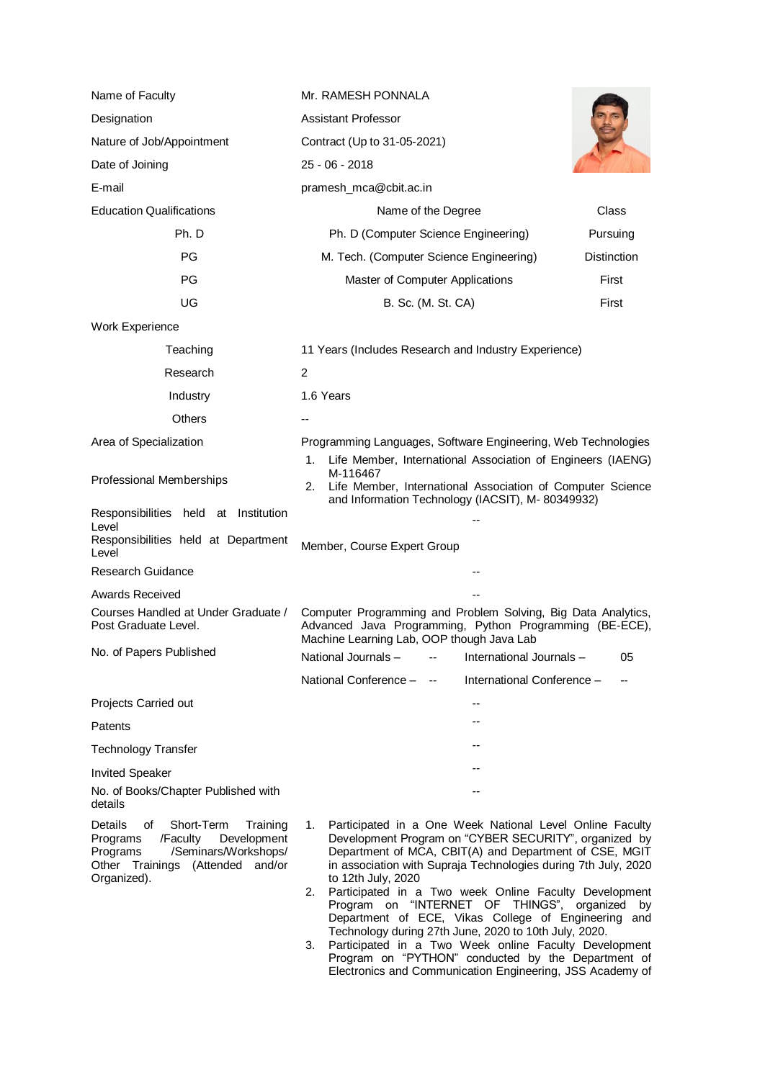| Name of Faculty                                                                                                                                                          | Mr. RAMESH PONNALA                                                                                                                                                                                                                                                                                                                                                                                                                                                                                        |                    |
|--------------------------------------------------------------------------------------------------------------------------------------------------------------------------|-----------------------------------------------------------------------------------------------------------------------------------------------------------------------------------------------------------------------------------------------------------------------------------------------------------------------------------------------------------------------------------------------------------------------------------------------------------------------------------------------------------|--------------------|
| Designation                                                                                                                                                              | <b>Assistant Professor</b>                                                                                                                                                                                                                                                                                                                                                                                                                                                                                |                    |
| Nature of Job/Appointment                                                                                                                                                | Contract (Up to 31-05-2021)                                                                                                                                                                                                                                                                                                                                                                                                                                                                               |                    |
| Date of Joining                                                                                                                                                          | 25 - 06 - 2018                                                                                                                                                                                                                                                                                                                                                                                                                                                                                            |                    |
| E-mail                                                                                                                                                                   | pramesh_mca@cbit.ac.in                                                                                                                                                                                                                                                                                                                                                                                                                                                                                    |                    |
| <b>Education Qualifications</b>                                                                                                                                          | Name of the Degree                                                                                                                                                                                                                                                                                                                                                                                                                                                                                        | Class              |
| Ph. D                                                                                                                                                                    | Ph. D (Computer Science Engineering)                                                                                                                                                                                                                                                                                                                                                                                                                                                                      | Pursuing           |
| <b>PG</b>                                                                                                                                                                | M. Tech. (Computer Science Engineering)                                                                                                                                                                                                                                                                                                                                                                                                                                                                   | <b>Distinction</b> |
| <b>PG</b>                                                                                                                                                                | Master of Computer Applications                                                                                                                                                                                                                                                                                                                                                                                                                                                                           | First              |
| UG                                                                                                                                                                       | B. Sc. (M. St. CA)                                                                                                                                                                                                                                                                                                                                                                                                                                                                                        | First              |
| <b>Work Experience</b>                                                                                                                                                   |                                                                                                                                                                                                                                                                                                                                                                                                                                                                                                           |                    |
| Teaching                                                                                                                                                                 | 11 Years (Includes Research and Industry Experience)                                                                                                                                                                                                                                                                                                                                                                                                                                                      |                    |
| Research                                                                                                                                                                 | 2                                                                                                                                                                                                                                                                                                                                                                                                                                                                                                         |                    |
| Industry                                                                                                                                                                 | 1.6 Years                                                                                                                                                                                                                                                                                                                                                                                                                                                                                                 |                    |
| Others                                                                                                                                                                   |                                                                                                                                                                                                                                                                                                                                                                                                                                                                                                           |                    |
| Area of Specialization                                                                                                                                                   | Programming Languages, Software Engineering, Web Technologies<br>1. Life Member, International Association of Engineers (IAENG)                                                                                                                                                                                                                                                                                                                                                                           |                    |
| Professional Memberships                                                                                                                                                 | M-116467<br>Life Member, International Association of Computer Science<br>2.<br>and Information Technology (IACSIT), M-80349932)                                                                                                                                                                                                                                                                                                                                                                          |                    |
| Responsibilities held at Institution<br>Level                                                                                                                            |                                                                                                                                                                                                                                                                                                                                                                                                                                                                                                           |                    |
| Responsibilities held at Department<br>Level                                                                                                                             | Member, Course Expert Group                                                                                                                                                                                                                                                                                                                                                                                                                                                                               |                    |
| Research Guidance                                                                                                                                                        |                                                                                                                                                                                                                                                                                                                                                                                                                                                                                                           |                    |
| <b>Awards Received</b>                                                                                                                                                   |                                                                                                                                                                                                                                                                                                                                                                                                                                                                                                           |                    |
| Courses Handled at Under Graduate /<br>Post Graduate Level.                                                                                                              | Computer Programming and Problem Solving, Big Data Analytics,<br>Advanced Java Programming, Python Programming (BE-ECE),<br>Machine Learning Lab, OOP though Java Lab                                                                                                                                                                                                                                                                                                                                     |                    |
| No. of Papers Published                                                                                                                                                  | National Journals –         --       International Journals –                                                                                                                                                                                                                                                                                                                                                                                                                                             | 05                 |
|                                                                                                                                                                          | National Conference - --<br>International Conference -                                                                                                                                                                                                                                                                                                                                                                                                                                                    |                    |
| Projects Carried out                                                                                                                                                     |                                                                                                                                                                                                                                                                                                                                                                                                                                                                                                           |                    |
| Patents                                                                                                                                                                  |                                                                                                                                                                                                                                                                                                                                                                                                                                                                                                           |                    |
| <b>Technology Transfer</b>                                                                                                                                               |                                                                                                                                                                                                                                                                                                                                                                                                                                                                                                           |                    |
| <b>Invited Speaker</b>                                                                                                                                                   |                                                                                                                                                                                                                                                                                                                                                                                                                                                                                                           |                    |
| No. of Books/Chapter Published with<br>details                                                                                                                           |                                                                                                                                                                                                                                                                                                                                                                                                                                                                                                           |                    |
| Details<br>Short-Term<br>οf<br>Training<br>Programs<br>/Faculty<br>Development<br>/Seminars/Workshops/<br>Programs<br>Other Trainings (Attended<br>and/or<br>Organized). | Participated in a One Week National Level Online Faculty<br>1.<br>Development Program on "CYBER SECURITY", organized by<br>Department of MCA, CBIT(A) and Department of CSE, MGIT<br>in association with Supraja Technologies during 7th July, 2020<br>to 12th July, 2020<br>Participated in a Two week Online Faculty Development<br>2.<br>Program on "INTERNET OF THINGS", organized by<br>Department of ECE, Vikas College of Engineering and<br>Technology during 27th June, 2020 to 10th July, 2020. |                    |

3. Participated in a Two Week online Faculty Development Program on "PYTHON" conducted by the Department of Electronics and Communication Engineering, JSS Academy of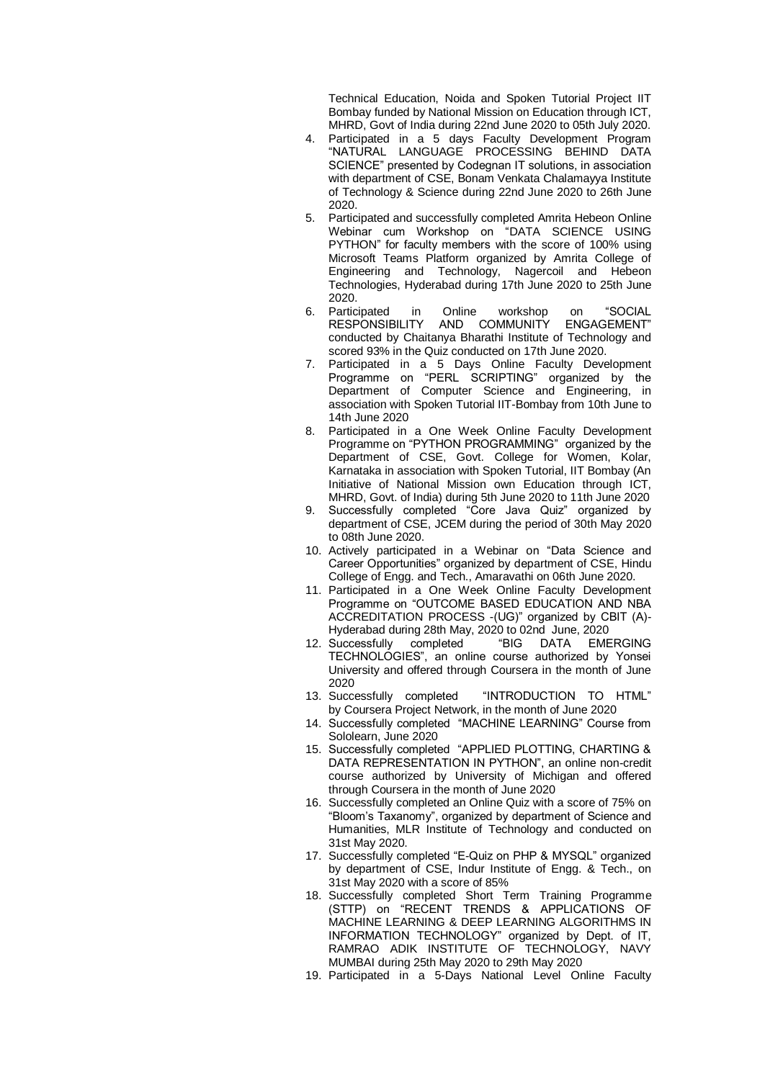Technical Education, Noida and Spoken Tutorial Project IIT Bombay funded by National Mission on Education through ICT, MHRD, Govt of India during 22nd June 2020 to 05th July 2020.

- 4. Participated in a 5 days Faculty Development Program "NATURAL LANGUAGE PROCESSING BEHIND DATA SCIENCE" presented by Codegnan IT solutions, in association with department of CSE, Bonam Venkata Chalamayya Institute of Technology & Science during 22nd June 2020 to 26th June 2020.
- 5. Participated and successfully completed Amrita Hebeon Online Webinar cum Workshop on "DATA SCIENCE USING PYTHON" for faculty members with the score of 100% using Microsoft Teams Platform organized by Amrita College of Engineering and Technology, Nagercoil and Hebeon Technologies, Hyderabad during 17th June 2020 to 25th June 2020.
- 6. Participated in Online workshop on "SOCIAL<br>RESPONSIBILITY AND COMMUNITY ENGAGEMENT" AND COMMUNITY ENGAGEMENT" conducted by Chaitanya Bharathi Institute of Technology and scored 93% in the Quiz conducted on 17th June 2020.
- 7. Participated in a 5 Days Online Faculty Development Programme on "PERL SCRIPTING" organized by the Department of Computer Science and Engineering, in association with Spoken Tutorial IIT-Bombay from 10th June to 14th June 2020
- 8. Participated in a One Week Online Faculty Development Programme on "PYTHON PROGRAMMING" organized by the Department of CSE, Govt. College for Women, Kolar, Karnataka in association with Spoken Tutorial, IIT Bombay (An Initiative of National Mission own Education through ICT, MHRD, Govt. of India) during 5th June 2020 to 11th June 2020
- 9. Successfully completed "Core Java Quiz" organized by department of CSE, JCEM during the period of 30th May 2020 to 08th June 2020.
- 10. Actively participated in a Webinar on "Data Science and Career Opportunities" organized by department of CSE, Hindu College of Engg. and Tech., Amaravathi on 06th June 2020.
- 11. Participated in a One Week Online Faculty Development Programme on "OUTCOME BASED EDUCATION AND NBA ACCREDITATION PROCESS -(UG)" organized by CBIT (A)- Hyderabad during 28th May, 2020 to 02nd June, 2020
- 12. Successfully completed "BIG DATA EMERGING TECHNOLOGIES", an online course authorized by Yonsei University and offered through Coursera in the month of June
- 2020<br>13. Successfully completed "INTRODUCTION TO HTML" by Coursera Project Network, in the month of June 2020
- 14. Successfully completed "MACHINE LEARNING" Course from Sololearn, June 2020
- 15. Successfully completed "APPLIED PLOTTING, CHARTING & DATA REPRESENTATION IN PYTHON", an online non-credit course authorized by University of Michigan and offered through Coursera in the month of June 2020
- 16. Successfully completed an Online Quiz with a score of 75% on "Bloom's Taxanomy", organized by department of Science and Humanities, MLR Institute of Technology and conducted on 31st May 2020.
- 17. Successfully completed "E-Quiz on PHP & MYSQL" organized by department of CSE, Indur Institute of Engg. & Tech., on 31st May 2020 with a score of 85%
- 18. Successfully completed Short Term Training Programme (STTP) on "RECENT TRENDS & APPLICATIONS OF MACHINE LEARNING & DEEP LEARNING ALGORITHMS IN INFORMATION TECHNOLOGY" organized by Dept. of IT, RAMRAO ADIK INSTITUTE OF TECHNOLOGY, NAVY MUMBAI during 25th May 2020 to 29th May 2020
- 19. Participated in a 5-Days National Level Online Faculty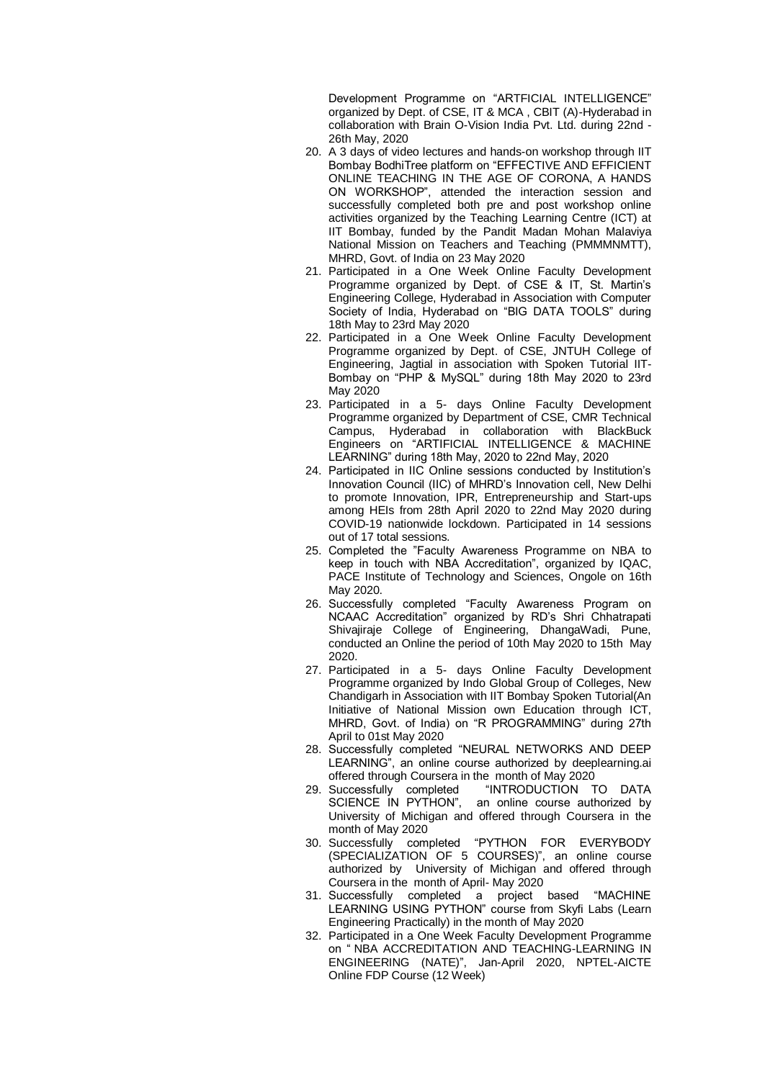Development Programme on "ARTFICIAL INTELLIGENCE" organized by Dept. of CSE, IT & MCA , CBIT (A)-Hyderabad in collaboration with Brain O-Vision India Pvt. Ltd. during 22nd - 26th May, 2020

- 20. A 3 days of video lectures and hands-on workshop through IIT Bombay BodhiTree platform on "EFFECTIVE AND EFFICIENT ONLINE TEACHING IN THE AGE OF CORONA, A HANDS ON WORKSHOP", attended the interaction session and successfully completed both pre and post workshop online activities organized by the Teaching Learning Centre (ICT) at IIT Bombay, funded by the Pandit Madan Mohan Malaviya National Mission on Teachers and Teaching (PMMMNMTT), MHRD, Govt. of India on 23 May 2020
- 21. Participated in a One Week Online Faculty Development Programme organized by Dept. of CSE & IT, St. Martin's Engineering College, Hyderabad in Association with Computer Society of India, Hyderabad on "BIG DATA TOOLS" during 18th May to 23rd May 2020
- 22. Participated in a One Week Online Faculty Development Programme organized by Dept. of CSE, JNTUH College of Engineering, Jagtial in association with Spoken Tutorial IIT-Bombay on "PHP & MySQL" during 18th May 2020 to 23rd May 2020
- 23. Participated in a 5- days Online Faculty Development Programme organized by Department of CSE, CMR Technical Campus, Hyderabad in collaboration with BlackBuck Engineers on "ARTIFICIAL INTELLIGENCE & MACHINE LEARNING" during 18th May, 2020 to 22nd May, 2020
- 24. Participated in IIC Online sessions conducted by Institution's Innovation Council (IIC) of MHRD's Innovation cell, New Delhi to promote Innovation, IPR, Entrepreneurship and Start-ups among HEIs from 28th April 2020 to 22nd May 2020 during COVID-19 nationwide lockdown. Participated in 14 sessions out of 17 total sessions.
- 25. Completed the "Faculty Awareness Programme on NBA to keep in touch with NBA Accreditation", organized by IQAC, PACE Institute of Technology and Sciences, Ongole on 16th May 2020.
- 26. Successfully completed "Faculty Awareness Program on NCAAC Accreditation" organized by RD's Shri Chhatrapati Shivajiraje College of Engineering, DhangaWadi, Pune, conducted an Online the period of 10th May 2020 to 15th May 2020.
- 27. Participated in a 5- days Online Faculty Development Programme organized by Indo Global Group of Colleges, New Chandigarh in Association with IIT Bombay Spoken Tutorial(An Initiative of National Mission own Education through ICT, MHRD, Govt. of India) on "R PROGRAMMING" during 27th April to 01st May 2020
- 28. Successfully completed "NEURAL NETWORKS AND DEEP LEARNING", an online course authorized by deeplearning.ai offered through Coursera in the month of May 2020
- 29. Successfully completed "INTRODUCTION TO DATA SCIENCE IN PYTHON", an online course authorized by University of Michigan and offered through Coursera in the month of May 2020
- 30. Successfully completed "PYTHON FOR EVERYBODY (SPECIALIZATION OF 5 COURSES)", an online course authorized by University of Michigan and offered through Coursera in the month of April- May 2020
- 31. Successfully completed a project based "MACHINE LEARNING USING PYTHON" course from Skyfi Labs (Learn Engineering Practically) in the month of May 2020
- 32. Participated in a One Week Faculty Development Programme on " [NBA ACCREDITATION AND TEACHING-LEARNING IN](https://onlinecourses.nptel.ac.in/noc20_ge11/course)  [ENGINEERING \(NATE\)"](https://onlinecourses.nptel.ac.in/noc20_ge11/course), Jan-April 2020, NPTEL-AICTE Online FDP Course (12 Week)